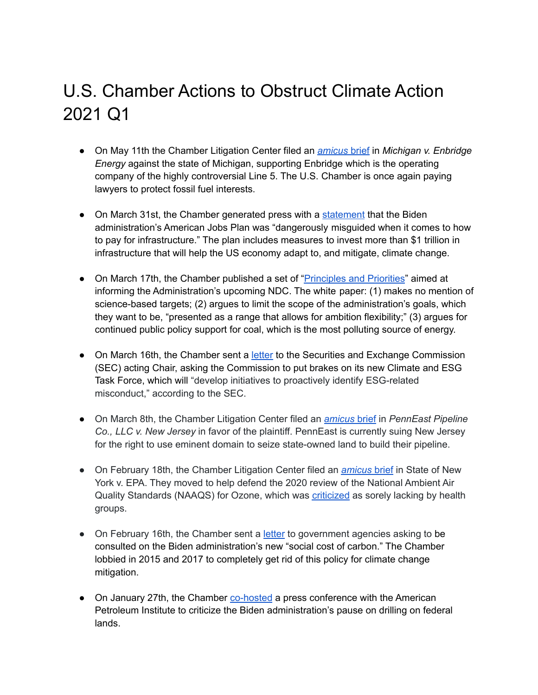## U.S. Chamber Actions to Obstruct Climate Action 2021 Q1

- On May 11th the Chamber Litigation Center filed an *[amicus](https://www.chamberlitigation.com/cases/michigan-v-enbridge-energy)* brief in *Michigan v. Enbridge Energy* against the state of Michigan, supporting Enbridge which is the operating company of the highly controversial Line 5. The U.S. Chamber is once again paying lawyers to protect fossil fuel interests.
- On March 31st, the Chamber generated press with a [statement](https://www.uschamber.com/press-release/us-chamber-calls-productive-solutions-democrats-and-republicans-enact-infrastructure) that the Biden administration's American Jobs Plan was "dangerously misguided when it comes to how to pay for infrastructure." The plan includes measures to invest more than \$1 trillion in infrastructure that will help the US economy adapt to, and mitigate, climate change.
- On March 17th, the Chamber published a set of "*Principles and Priorities*" aimed at informing the Administration's upcoming NDC. The white paper: (1) makes no mention of science-based targets; (2) argues to limit the scope of the administration's goals, which they want to be, "presented as a range that allows for ambition flexibility;" (3) argues for continued public policy support for coal, which is the most polluting source of energy.
- On March 16th, the Chamber sent a [letter](https://www.cfo.com/disclosure/2021/03/chamber-urges-sec-caution-on-climate-disclosure/) to the Securities and Exchange Commission (SEC) acting Chair, asking the Commission to put brakes on its new Climate and ESG Task Force, which will "develop initiatives to proactively identify ESG-related misconduct," according to the SEC.
- On March 8th, the Chamber Litigation Center filed an *[amicus](https://www.chamberlitigation.com/cases/penneast-pipeline-co-llc-v-new-jersey)* brief in *PennEast Pipeline Co., LLC v. New Jersey* in favor of the plaintiff. PennEast is currently suing New Jersey for the right to use eminent domain to seize state-owned land to build their pipeline.
- On February 18th, the Chamber Litigation Center filed an *[amicus](https://www.chamberlitigation.com/cases/state-new-york-v-epa-0)* brief in State of New York v. EPA. They moved to help defend the 2020 review of the National Ambient Air Quality Standards (NAAQS) for Ozone, which was [criticized](https://www.desmogblog.com/2020/07/14/american-petroleum-institute-wheeler-epa-ozone-standards/) as sorely lacking by health groups.
- On February 16th, the Chamber sent a [letter](https://www.eenews.net/assets/2021/02/16/document_pm_01.pdf) to government agencies asking to be consulted on the Biden administration's new "social cost of carbon." The Chamber lobbied in 2015 and 2017 to completely get rid of this policy for climate change mitigation.
- On January 27th, the Chamber [co-hosted](https://www.desmogblog.com/2021/01/27/oil-inflates-job-impact-biden-pause-drilling-federal-lands/) a press conference with the American Petroleum Institute to criticize the Biden administration's pause on drilling on federal lands.